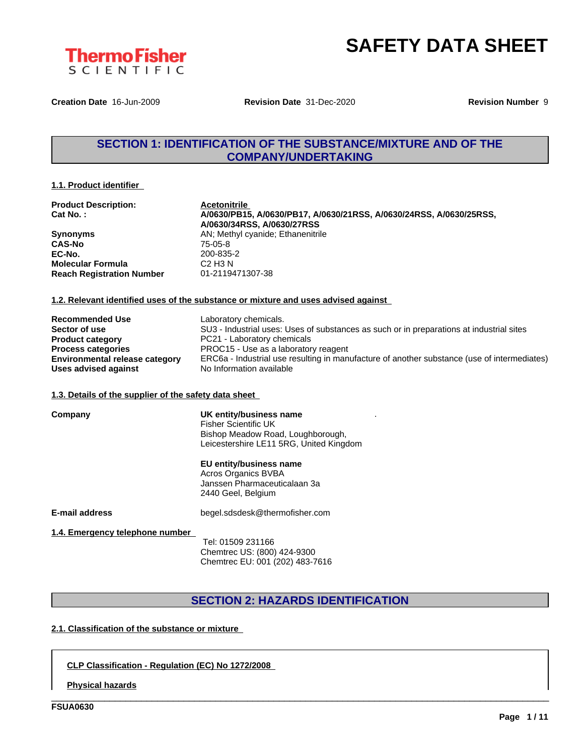

**Creation Date** 16-Jun-2009 **Revision Date** 31-Dec-2020 **Revision Number** 9

## **SECTION 1: IDENTIFICATION OF THE SUBSTANCE/MIXTURE AND OF THE COMPANY/UNDERTAKING**

#### **1.1. Product identifier**

| <b>Product Description:</b>      | <b>Acetonitrile</b>                                                 |
|----------------------------------|---------------------------------------------------------------------|
| $Cat No.$ :                      | A/0630/PB15, A/0630/PB17, A/0630/21RSS, A/0630/24RSS, A/0630/25RSS, |
|                                  | A/0630/34RSS, A/0630/27RSS                                          |
| <b>Synonyms</b>                  | AN; Methyl cyanide; Ethanenitrile                                   |
| <b>CAS-No</b>                    | 75-05-8                                                             |
| EC-No.                           | 200-835-2                                                           |
| <b>Molecular Formula</b>         | C <sub>2</sub> H <sub>3</sub> N                                     |
| <b>Reach Registration Number</b> | 01-2119471307-38                                                    |

#### **1.2. Relevant identified uses of the substance or mixture and uses advised against**

| <b>Recommended Use</b>                | Laboratory chemicals.                                                                       |
|---------------------------------------|---------------------------------------------------------------------------------------------|
| Sector of use                         | SU3 - Industrial uses: Uses of substances as such or in preparations at industrial sites    |
| <b>Product category</b>               | PC21 - Laboratory chemicals                                                                 |
| <b>Process categories</b>             | PROC15 - Use as a laboratory reagent                                                        |
| <b>Environmental release category</b> | ERC6a - Industrial use resulting in manufacture of another substance (use of intermediates) |
| Uses advised against                  | No Information available                                                                    |

#### **1.3. Details of the supplier of the safety data sheet**

| UK entity/business name<br><b>Fisher Scientific UK</b> |  |
|--------------------------------------------------------|--|
| Bishop Meadow Road, Loughborough,                      |  |
| Leicestershire LE11 5RG, United Kingdom                |  |

**EU entity/business name**

Acros Organics BVBA Janssen Pharmaceuticalaan 3a 2440 Geel, Belgium

**Company** 

**E-mail address** begel.sdsdesk@thermofisher.com

#### **1.4. Emergency telephone number**

Tel: 01509 231166 Chemtrec US: (800) 424-9300 Chemtrec EU: 001 (202) 483-7616

#### **SECTION 2: HAZARDS IDENTIFICATION**

\_\_\_\_\_\_\_\_\_\_\_\_\_\_\_\_\_\_\_\_\_\_\_\_\_\_\_\_\_\_\_\_\_\_\_\_\_\_\_\_\_\_\_\_\_\_\_\_\_\_\_\_\_\_\_\_\_\_\_\_\_\_\_\_\_\_\_\_\_\_\_\_\_\_\_\_\_\_\_\_\_\_\_\_\_\_\_\_\_\_\_\_\_\_

#### **2.1. Classification of the substance or mixture**

#### **CLP Classification - Regulation (EC) No 1272/2008**

**Physical hazards**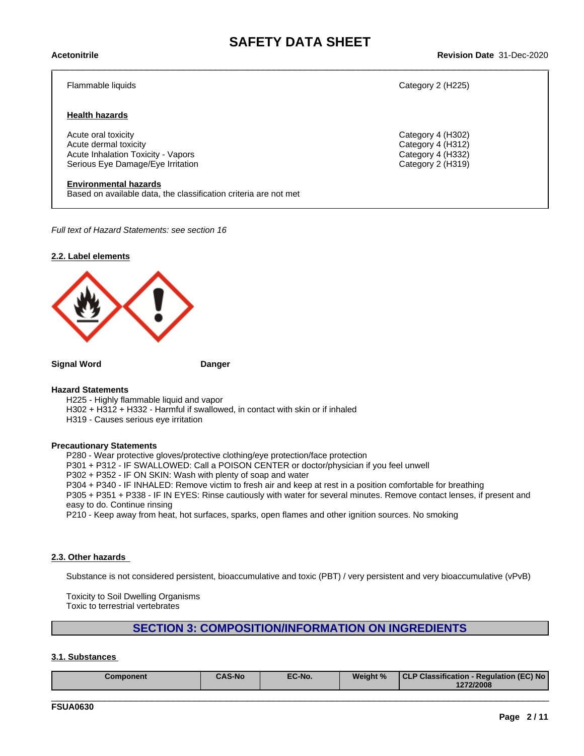# \_\_\_\_\_\_\_\_\_\_\_\_\_\_\_\_\_\_\_\_\_\_\_\_\_\_\_\_\_\_\_\_\_\_\_\_\_\_\_\_\_\_\_\_\_\_\_\_\_\_\_\_\_\_\_\_\_\_\_\_\_\_\_\_\_\_\_\_\_\_\_\_\_\_\_\_\_\_\_\_\_\_\_\_\_\_\_\_\_\_\_\_\_\_ **Acetonitrile Revision Date** 31-Dec-2020

#### Flammable liquids Category 2 (H225)

#### **Health hazards**

Acute oral toxicity Category 4 (H302) Acute dermal toxicity<br>
Acute Inhalation Toxicity - Vapors<br>
Category 4 (H332) Acute Inhalation Toxicity - Vapors Serious Eye Damage/Eye Irritation **Category 2 (H319)** Category 2 (H319)

#### **Environmental hazards**

Based on available data, the classification criteria are not met

*Full text of Hazard Statements: see section 16*



**Signal Word Danger**

#### **Hazard Statements**

H225 - Highly flammable liquid and vapor

H302 + H312 + H332 - Harmful if swallowed, in contact with skin or if inhaled

H319 - Causes serious eye irritation

#### **Precautionary Statements**

P280 - Wear protective gloves/protective clothing/eye protection/face protection

P301 + P312 - IF SWALLOWED: Call a POISON CENTER or doctor/physician if you feel unwell

P302 + P352 - IF ON SKIN: Wash with plenty of soap and water

P304 + P340 - IF INHALED: Remove victim to fresh air and keep at rest in a position comfortable for breathing

P305 + P351 + P338 - IF IN EYES: Rinse cautiously with water for several minutes. Remove contact lenses, if present and easy to do. Continue rinsing

P210 - Keep away from heat, hot surfaces, sparks, open flames and other ignition sources. No smoking

#### **2.3. Other hazards**

Substance is not considered persistent, bioaccumulative and toxic (PBT) / very persistent and very bioaccumulative (vPvB)

Toxicity to Soil Dwelling Organisms Toxic to terrestrial vertebrates

### **SECTION 3: COMPOSITION/INFORMATION ON INGREDIENTS**

#### **3.1. Substances**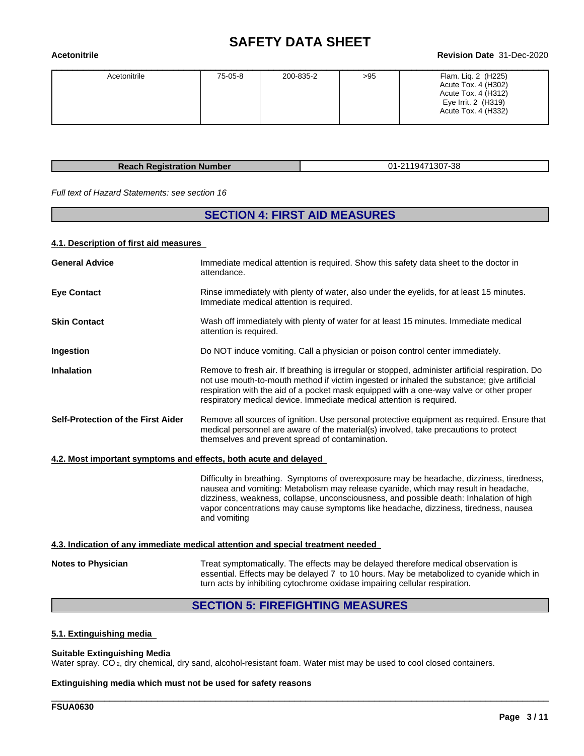# **SAFETY DATA SHEET**<br>Revision Date 31-Dec-2020

# \_\_\_\_\_\_\_\_\_\_\_\_\_\_\_\_\_\_\_\_\_\_\_\_\_\_\_\_\_\_\_\_\_\_\_\_\_\_\_\_\_\_\_\_\_\_\_\_\_\_\_\_\_\_\_\_\_\_\_\_\_\_\_\_\_\_\_\_\_\_\_\_\_\_\_\_\_\_\_\_\_\_\_\_\_\_\_\_\_\_\_\_\_\_ **Acetonitrile Revision Date** 31-Dec-2020

| Acetonitrile | 75-05-8 | 200-835-2 | >95 | Flam. Lig. 2 (H225)<br>Acute Tox. 4 (H302)<br>Acute Tox. 4 (H312)<br>Eye Irrit. 2 (H319)<br>Acute Tox. 4 (H332) |
|--------------|---------|-----------|-----|-----------------------------------------------------------------------------------------------------------------|
|              |         |           |     |                                                                                                                 |

**Reach Registration Number** 01-2119471307-38

*Full text of Hazard Statements: see section 16*

### **SECTION 4: FIRST AID MEASURES**

#### **4.1. Description of first aid measures**

| <b>General Advice</b>                                            | Immediate medical attention is required. Show this safety data sheet to the doctor in<br>attendance.                                                                                                                                                                                                                                                                            |
|------------------------------------------------------------------|---------------------------------------------------------------------------------------------------------------------------------------------------------------------------------------------------------------------------------------------------------------------------------------------------------------------------------------------------------------------------------|
| <b>Eye Contact</b>                                               | Rinse immediately with plenty of water, also under the eyelids, for at least 15 minutes.<br>Immediate medical attention is required.                                                                                                                                                                                                                                            |
| <b>Skin Contact</b>                                              | Wash off immediately with plenty of water for at least 15 minutes. Immediate medical<br>attention is required.                                                                                                                                                                                                                                                                  |
| Ingestion                                                        | Do NOT induce vomiting. Call a physician or poison control center immediately.                                                                                                                                                                                                                                                                                                  |
| <b>Inhalation</b>                                                | Remove to fresh air. If breathing is irregular or stopped, administer artificial respiration. Do<br>not use mouth-to-mouth method if victim ingested or inhaled the substance; give artificial<br>respiration with the aid of a pocket mask equipped with a one-way valve or other proper<br>respiratory medical device. Immediate medical attention is required.               |
| Self-Protection of the First Aider                               | Remove all sources of ignition. Use personal protective equipment as required. Ensure that<br>medical personnel are aware of the material(s) involved, take precautions to protect<br>themselves and prevent spread of contamination.                                                                                                                                           |
| 4.2. Most important symptoms and effects, both acute and delayed |                                                                                                                                                                                                                                                                                                                                                                                 |
|                                                                  | Difficulty in breathing. Symptoms of overexposure may be headache, dizziness, tiredness,<br>nausea and vomiting: Metabolism may release cyanide, which may result in headache,<br>dizziness, weakness, collapse, unconsciousness, and possible death: Inhalation of high<br>vapor concentrations may cause symptoms like headache, dizziness, tiredness, nausea<br>and vomiting |
|                                                                  | 4.3. Indication of any immediate medical attention and special treatment needed                                                                                                                                                                                                                                                                                                 |
| <b>Notes to Physician</b>                                        | Treat symptomatically. The effects may be delayed therefore medical observation is<br>essential. Effects may be delayed 7 to 10 hours. May be metabolized to cyanide which in<br>turn acts by inhibiting cytochrome oxidase impairing cellular respiration.                                                                                                                     |

# **SECTION 5: FIREFIGHTING MEASURES**

\_\_\_\_\_\_\_\_\_\_\_\_\_\_\_\_\_\_\_\_\_\_\_\_\_\_\_\_\_\_\_\_\_\_\_\_\_\_\_\_\_\_\_\_\_\_\_\_\_\_\_\_\_\_\_\_\_\_\_\_\_\_\_\_\_\_\_\_\_\_\_\_\_\_\_\_\_\_\_\_\_\_\_\_\_\_\_\_\_\_\_\_\_\_

#### **5.1. Extinguishing media**

#### **Suitable Extinguishing Media**

Water spray. CO<sub>2</sub>, dry chemical, dry sand, alcohol-resistant foam. Water mist may be used to cool closed containers.

#### **Extinguishing media which must not be used for safety reasons**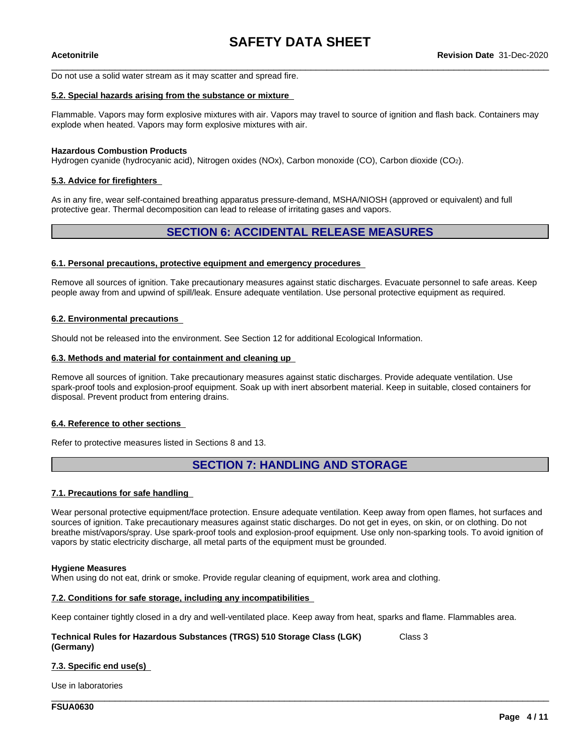Do not use a solid water stream as it may scatter and spread fire.

#### **5.2. Special hazards arising from the substance or mixture**

Flammable. Vapors may form explosive mixtures with air. Vapors may travel to source of ignition and flash back. Containers may explode when heated. Vapors may form explosive mixtures with air.

#### **Hazardous Combustion Products**

Hydrogen cyanide (hydrocyanic acid), Nitrogen oxides (NOx), Carbon monoxide (CO), Carbon dioxide (CO2).

#### **5.3. Advice for firefighters**

As in any fire, wear self-contained breathing apparatus pressure-demand, MSHA/NIOSH (approved or equivalent) and full protective gear. Thermal decomposition can lead to release of irritating gases and vapors.

#### **SECTION 6: ACCIDENTAL RELEASE MEASURES**

#### **6.1. Personal precautions, protective equipment and emergency procedures**

Remove all sources of ignition. Take precautionary measures against static discharges. Evacuate personnel to safe areas. Keep people away from and upwind of spill/leak. Ensure adequate ventilation. Use personal protective equipment as required.

#### **6.2. Environmental precautions**

Should not be released into the environment. See Section 12 for additional Ecological Information.

#### **6.3. Methods and material for containment and cleaning up**

Remove all sources of ignition. Take precautionary measures against static discharges. Provide adequate ventilation. Use spark-proof tools and explosion-proof equipment. Soak up with inert absorbent material. Keep in suitable, closed containers for disposal. Prevent product from entering drains.

#### **6.4. Reference to other sections**

Refer to protective measures listed in Sections 8 and 13.

#### **SECTION 7: HANDLING AND STORAGE**

#### **7.1. Precautions for safe handling**

Wear personal protective equipment/face protection. Ensure adequate ventilation. Keep away from open flames, hot surfaces and sources of ignition. Take precautionary measures against static discharges. Do not get in eyes, on skin, or on clothing. Do not breathe mist/vapors/spray. Use spark-proof tools and explosion-proof equipment. Use only non-sparking tools. To avoid ignition of vapors by static electricity discharge, all metal parts of the equipment must be grounded.

#### **Hygiene Measures**

When using do not eat, drink or smoke. Provide regular cleaning of equipment, work area and clothing.

#### **7.2. Conditions for safe storage, including any incompatibilities**

Keep container tightly closed in a dry and well-ventilated place. Keep away from heat, sparks and flame. Flammables area.

\_\_\_\_\_\_\_\_\_\_\_\_\_\_\_\_\_\_\_\_\_\_\_\_\_\_\_\_\_\_\_\_\_\_\_\_\_\_\_\_\_\_\_\_\_\_\_\_\_\_\_\_\_\_\_\_\_\_\_\_\_\_\_\_\_\_\_\_\_\_\_\_\_\_\_\_\_\_\_\_\_\_\_\_\_\_\_\_\_\_\_\_\_\_

#### **Technical Rules for Hazardous Substances (TRGS) 510 Storage Class (LGK) (Germany)** Class 3

#### **7.3. Specific end use(s)**

Use in laboratories

**FSUA0630**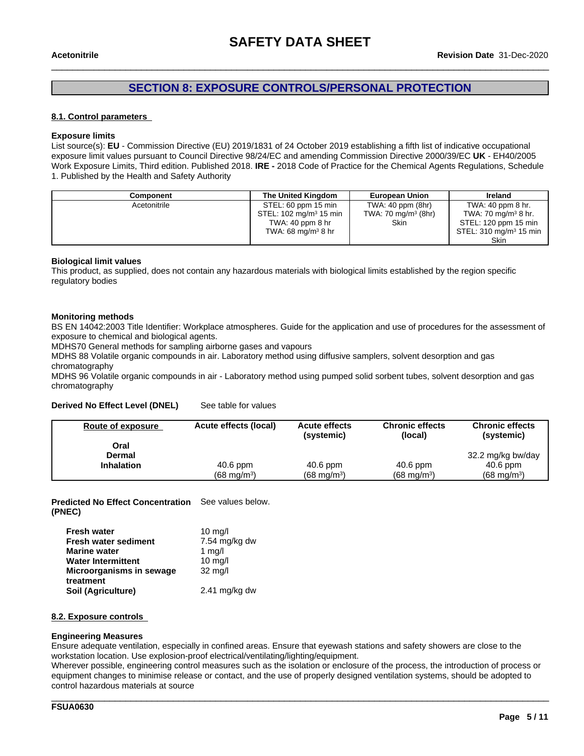### **SECTION 8: EXPOSURE CONTROLS/PERSONAL PROTECTION**

#### **8.1. Control parameters**

#### **Exposure limits**

List source(s): **EU** - Commission Directive (EU) 2019/1831 of 24 October 2019 establishing a fifth list ofindicative occupational exposure limit values pursuant to Council Directive 98/24/EC and amending Commission Directive 2000/39/EC UK - EH40/2005 Work Exposure Limits, Third edition. Published 2018. **IRE -** 2018 Code of Practice for the Chemical Agents Regulations, Schedule 1. Published by the Health and Safety Authority

| Component    | The United Kingdom                 | <b>European Union</b>  | Ireland                           |
|--------------|------------------------------------|------------------------|-----------------------------------|
| Acetonitrile | STEL: 60 ppm 15 min                | TWA: $40$ ppm $(8hr)$  | TWA: 40 ppm 8 hr.                 |
|              | STEL: 102 mg/m <sup>3</sup> 15 min | TWA: 70 mg/m $3$ (8hr) | TWA: 70 mg/m <sup>3</sup> 8 hr.   |
|              | TWA: $40$ ppm $8$ hr               | Skin                   | STEL: 120 ppm 15 min              |
|              | TWA: 68 mg/m $3$ 8 hr              |                        | STEL: $310 \text{ mg/m}^3$ 15 min |
|              |                                    |                        | Skin                              |

#### **Biological limit values**

This product, as supplied, does not contain any hazardous materials with biological limits established by the region specific regulatory bodies

#### **Monitoring methods**

BS EN 14042:2003 Title Identifier: Workplace atmospheres. Guide for the application and use of procedures for the assessment of exposure to chemical and biological agents.

MDHS70 General methods for sampling airborne gases and vapours

MDHS 88 Volatile organic compounds in air. Laboratory method using diffusive samplers, solvent desorption and gas chromatography

MDHS 96 Volatile organic compounds in air - Laboratory method using pumped solid sorbent tubes, solvent desorption and gas chromatography

#### **Derived No Effect Level (DNEL)** See table for values

| Route of exposure     | Acute effects (local) | <b>Acute effects</b><br>(systemic) | <b>Chronic effects</b><br>(local) | <b>Chronic effects</b><br>(systemic) |
|-----------------------|-----------------------|------------------------------------|-----------------------------------|--------------------------------------|
| Oral<br><b>Dermal</b> |                       |                                    |                                   | 32.2 mg/kg bw/day                    |
| <b>Inhalation</b>     | 40.6 ppm              | $40.6$ ppm                         | $40.6$ ppm                        | $40.6$ ppm                           |
|                       | $(68 \text{ ma/m}^3)$ | $(68 \text{ ma/m}^3)$              | $(68 \text{ ma/m}^3)$             | $(68 \text{ mg/m}^3)$                |

**Predicted No Effect Concentration** See values below. **(PNEC)**

| <b>Fresh water</b>                    | $10 \text{ mg/l}$       |
|---------------------------------------|-------------------------|
| <b>Fresh water sediment</b>           | 7.54 mg/kg dw           |
| <b>Marine water</b>                   | 1 $mq/l$                |
| <b>Water Intermittent</b>             | $10 \text{ mg/l}$       |
| Microorganisms in sewage<br>treatment | $32 \text{ mg/l}$       |
| Soil (Agriculture)                    | $2.41 \text{ mg/kg}$ dw |

#### **8.2. Exposure controls**

#### **Engineering Measures**

Ensure adequate ventilation, especially in confined areas. Ensure that eyewash stations and safety showers are close to the workstation location. Use explosion-proof electrical/ventilating/lighting/equipment.

Wherever possible, engineering control measures such as the isolation or enclosure of the process, the introduction of process or equipment changes to minimise release or contact, and the use of properly designed ventilation systems, should be adopted to control hazardous materials at source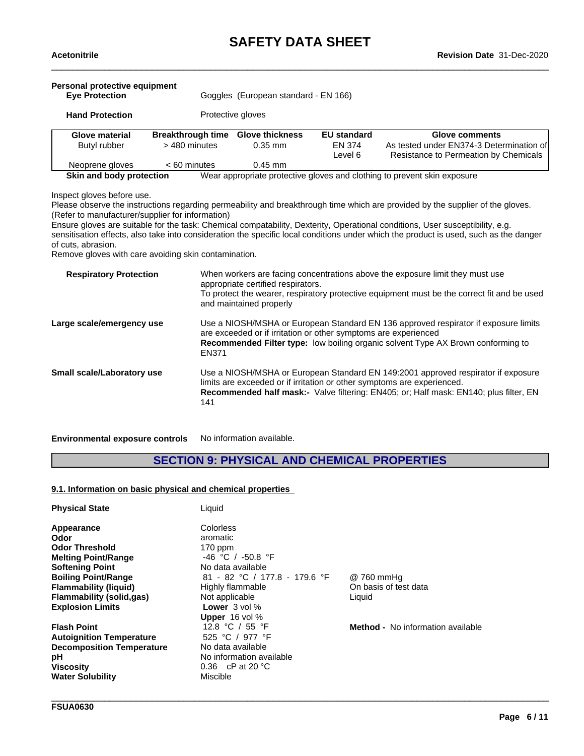| Personal protective equipment<br><b>Eve Protection</b> |                                           | Goggles (European standard - EN 166) |                                         |                                                                                                     |
|--------------------------------------------------------|-------------------------------------------|--------------------------------------|-----------------------------------------|-----------------------------------------------------------------------------------------------------|
| Protective gloves<br><b>Hand Protection</b>            |                                           |                                      |                                         |                                                                                                     |
| Glove material<br>Butyl rubber                         | <b>Breakthrough time</b><br>> 480 minutes | <b>Glove thickness</b><br>$0.35$ mm  | <b>EU</b> standard<br>EN 374<br>Level 6 | Glove comments<br>As tested under EN374-3 Determination of<br>Resistance to Permeation by Chemicals |
| Neoprene gloves                                        | $< 60$ minutes                            | $0.45$ mm                            |                                         |                                                                                                     |

Inspect gloves before use.

Please observe the instructions regarding permeability and breakthrough time which are provided by the supplier of the gloves. (Refer to manufacturer/supplier for information)

Ensure gloves are suitable for the task: Chemical compatability, Dexterity, Operational conditions, User susceptibility, e.g. sensitisation effects, also take into consideration the specific local conditions under which the product is used, such as the danger of cuts, abrasion.

Remove gloves with care avoiding skin contamination.

| When workers are facing concentrations above the exposure limit they must use<br>appropriate certified respirators.<br>To protect the wearer, respiratory protective equipment must be the correct fit and be used<br>and maintained properly                       |
|---------------------------------------------------------------------------------------------------------------------------------------------------------------------------------------------------------------------------------------------------------------------|
| Use a NIOSH/MSHA or European Standard EN 136 approved respirator if exposure limits<br>are exceeded or if irritation or other symptoms are experienced<br><b>Recommended Filter type:</b> low boiling organic solvent Type AX Brown conforming to<br>EN371          |
| Use a NIOSH/MSHA or European Standard EN 149:2001 approved respirator if exposure<br>limits are exceeded or if irritation or other symptoms are experienced.<br><b>Recommended half mask:-</b> Valve filtering: EN405; or; Half mask: EN140; plus filter, EN<br>141 |
|                                                                                                                                                                                                                                                                     |

**Environmental exposure controls** No information available.

## **SECTION 9: PHYSICAL AND CHEMICAL PROPERTIES**

#### **9.1. Information on basic physical and chemical properties**

| <b>Physical State</b>            | Liquid                            |                                          |
|----------------------------------|-----------------------------------|------------------------------------------|
| Appearance                       | Colorless                         |                                          |
| Odor                             | aromatic                          |                                          |
| <b>Odor Threshold</b>            | $170$ ppm                         |                                          |
| <b>Melting Point/Range</b>       | $-46$ °C / $-50.8$ °F             |                                          |
| <b>Softening Point</b>           | No data available                 |                                          |
| <b>Boiling Point/Range</b>       | 81 - 82 °C / 177.8 - 179.6 °F     | @ 760 mmHq                               |
| <b>Flammability (liquid)</b>     | Highly flammable                  | On basis of test data                    |
| Flammability (solid,gas)         | Not applicable                    | Liquid                                   |
| <b>Explosion Limits</b>          | <b>Lower</b> $3$ vol $\%$         |                                          |
|                                  | <b>Upper</b> $16$ vol $\%$        |                                          |
| <b>Flash Point</b>               | 12.8 °C / 55 °F                   | <b>Method -</b> No information available |
| <b>Autoignition Temperature</b>  | 525 °C / 977 °F                   |                                          |
| <b>Decomposition Temperature</b> | No data available                 |                                          |
| рH                               | No information available          |                                          |
| <b>Viscosity</b>                 | 0.36 $\,$ cP at 20 $\,^{\circ}$ C |                                          |
| <b>Water Solubility</b>          | Miscible                          |                                          |

\_\_\_\_\_\_\_\_\_\_\_\_\_\_\_\_\_\_\_\_\_\_\_\_\_\_\_\_\_\_\_\_\_\_\_\_\_\_\_\_\_\_\_\_\_\_\_\_\_\_\_\_\_\_\_\_\_\_\_\_\_\_\_\_\_\_\_\_\_\_\_\_\_\_\_\_\_\_\_\_\_\_\_\_\_\_\_\_\_\_\_\_\_\_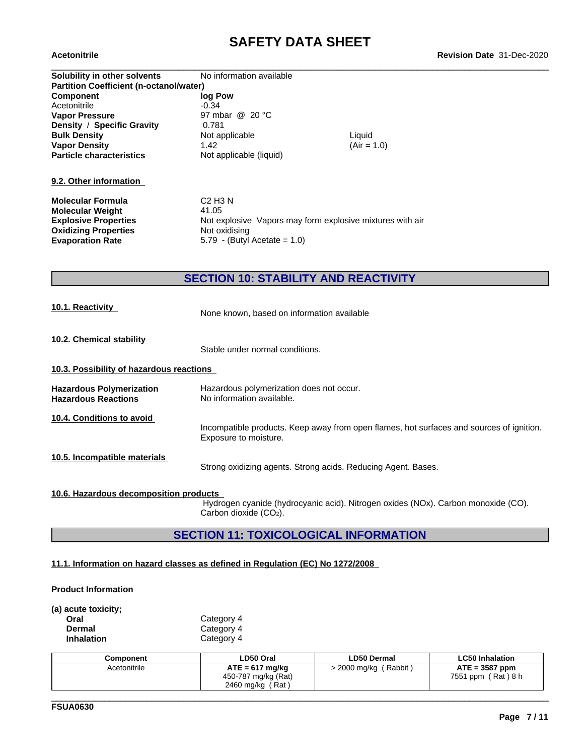| Solubility in other solvents                   | No information available                                  |               |
|------------------------------------------------|-----------------------------------------------------------|---------------|
| <b>Partition Coefficient (n-octanol/water)</b> |                                                           |               |
| <b>Component</b>                               | log Pow                                                   |               |
| Acetonitrile                                   | $-0.34$                                                   |               |
| <b>Vapor Pressure</b>                          | 97 mbar @ 20 °C                                           |               |
| Density / Specific Gravity                     | 0.781                                                     |               |
| <b>Bulk Density</b>                            | Not applicable                                            | Liquid        |
| <b>Vapor Density</b>                           | 1.42                                                      | $(Air = 1.0)$ |
| <b>Particle characteristics</b>                | Not applicable (liquid)                                   |               |
|                                                |                                                           |               |
| 9.2. Other information                         |                                                           |               |
| Molecular Formula                              | C <sub>2</sub> H <sub>3</sub> N                           |               |
| <b>Molecular Weight</b>                        | 41.05                                                     |               |
| <b>Explosive Properties</b>                    | Not explosive Vapors may form explosive mixtures with air |               |
| <b>Oxidizing Properties</b>                    | Not oxidising                                             |               |
| <b>Evaporation Rate</b>                        | 5.79 - (Butyl Acetate = $1.0$ )                           |               |
|                                                |                                                           |               |
|                                                |                                                           |               |
|                                                |                                                           |               |

## **SECTION 10: STABILITY AND REACTIVITY**

|  |  |  | <b>10.1. Reactivity</b> |  |  |
|--|--|--|-------------------------|--|--|
|  |  |  |                         |  |  |

None known, based on information available

**10.2. Chemical stability**

Stable under normal conditions.

#### **10.3. Possibility of hazardous reactions**

| <b>Hazardous Polymerization</b> | Hazardous polymerization does not occur. |
|---------------------------------|------------------------------------------|
| <b>Hazardous Reactions</b>      | No information available.                |

**10.4. Conditions to avoid**

Incompatible products. Keep away from open flames, hot surfaces and sources of ignition. Exposure to moisture.

**10.5. Incompatible materials**

Strong oxidizing agents. Strong acids. Reducing Agent. Bases.

#### **10.6. Hazardous decomposition products**

Hydrogen cyanide (hydrocyanic acid). Nitrogen oxides (NOx). Carbon monoxide (CO). Carbon dioxide (CO2).

\_\_\_\_\_\_\_\_\_\_\_\_\_\_\_\_\_\_\_\_\_\_\_\_\_\_\_\_\_\_\_\_\_\_\_\_\_\_\_\_\_\_\_\_\_\_\_\_\_\_\_\_\_\_\_\_\_\_\_\_\_\_\_\_\_\_\_\_\_\_\_\_\_\_\_\_\_\_\_\_\_\_\_\_\_\_\_\_\_\_\_\_\_\_

### **SECTION 11: TOXICOLOGICAL INFORMATION**

#### **11.1. Information on hazard classes as defined in Regulation (EC) No 1272/2008**

#### **Product Information**

**(a) acute toxicity;**

| Oral       | Category 4 |
|------------|------------|
| Dermal     | Category 4 |
| Inhalation | Category 4 |

| Component    | LD50 Oral                                                         | <b>LD50 Dermal</b>                 | <b>LC50 Inhalation</b>                        |
|--------------|-------------------------------------------------------------------|------------------------------------|-----------------------------------------------|
| Acetonitrile | $ATE = 617$ mg/kg<br>450-787 mg/kg (Rat)<br>، Rat '<br>2460 mg/kg | <sup>'</sup> Rabbit,<br>2000 mg/kg | $ATE = 3587$ ppm<br>(Rat ) 8 h<br>7551<br>ppm |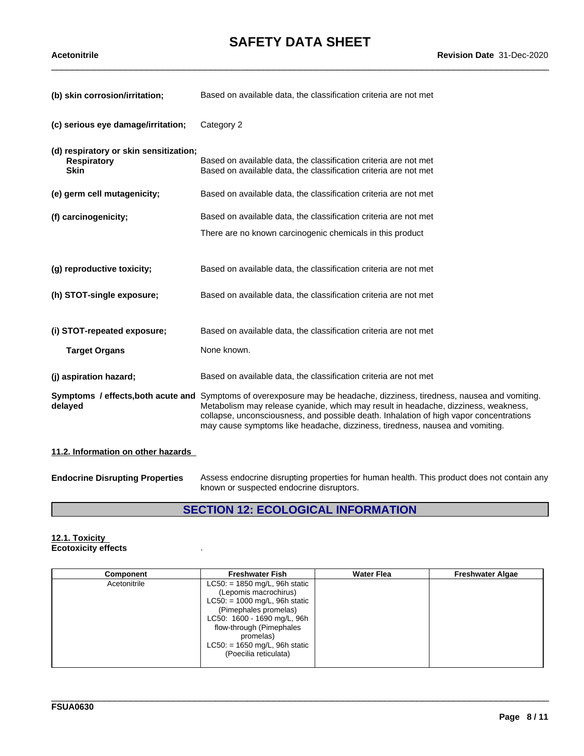| (b) skin corrosion/irritation;                                              | Based on available data, the classification criteria are not met                                                                                                                                                                                                                                                                                                                        |
|-----------------------------------------------------------------------------|-----------------------------------------------------------------------------------------------------------------------------------------------------------------------------------------------------------------------------------------------------------------------------------------------------------------------------------------------------------------------------------------|
| (c) serious eye damage/irritation;                                          | Category 2                                                                                                                                                                                                                                                                                                                                                                              |
| (d) respiratory or skin sensitization;<br><b>Respiratory</b><br><b>Skin</b> | Based on available data, the classification criteria are not met<br>Based on available data, the classification criteria are not met                                                                                                                                                                                                                                                    |
| (e) germ cell mutagenicity;                                                 | Based on available data, the classification criteria are not met                                                                                                                                                                                                                                                                                                                        |
| (f) carcinogenicity;                                                        | Based on available data, the classification criteria are not met                                                                                                                                                                                                                                                                                                                        |
|                                                                             | There are no known carcinogenic chemicals in this product                                                                                                                                                                                                                                                                                                                               |
| (g) reproductive toxicity;                                                  | Based on available data, the classification criteria are not met                                                                                                                                                                                                                                                                                                                        |
| (h) STOT-single exposure;                                                   | Based on available data, the classification criteria are not met                                                                                                                                                                                                                                                                                                                        |
| (i) STOT-repeated exposure;<br><b>Target Organs</b>                         | Based on available data, the classification criteria are not met<br>None known.                                                                                                                                                                                                                                                                                                         |
| (j) aspiration hazard;                                                      | Based on available data, the classification criteria are not met                                                                                                                                                                                                                                                                                                                        |
| delayed                                                                     | Symptoms / effects, both acute and Symptoms of overexposure may be headache, dizziness, tiredness, nausea and vomiting.<br>Metabolism may release cyanide, which may result in headache, dizziness, weakness,<br>collapse, unconsciousness, and possible death. Inhalation of high vapor concentrations<br>may cause symptoms like headache, dizziness, tiredness, nausea and vomiting. |
| 11.2. Information on other hazards                                          |                                                                                                                                                                                                                                                                                                                                                                                         |

**Endocrine Disrupting Properties** Assess endocrine disrupting properties for human health. This product does not contain any known or suspected endocrine disruptors.

# **SECTION 12: ECOLOGICAL INFORMATION**

#### **12.1. Toxicity Ecotoxicity effects** .

| Component    | <b>Freshwater Fish</b>                                                                                                                                                                                                                                    | <b>Water Flea</b> | <b>Freshwater Algae</b> |
|--------------|-----------------------------------------------------------------------------------------------------------------------------------------------------------------------------------------------------------------------------------------------------------|-------------------|-------------------------|
| Acetonitrile | $LC50: = 1850$ mg/L, 96h static<br>(Lepomis macrochirus)<br>$LC50: = 1000$ mg/L, 96h static<br>(Pimephales promelas)<br>LC50: 1600 - 1690 mg/L, 96h<br>flow-through (Pimephales<br>promelas)<br>$LC50$ : = 1650 mg/L, 96h static<br>(Poecilia reticulata) |                   |                         |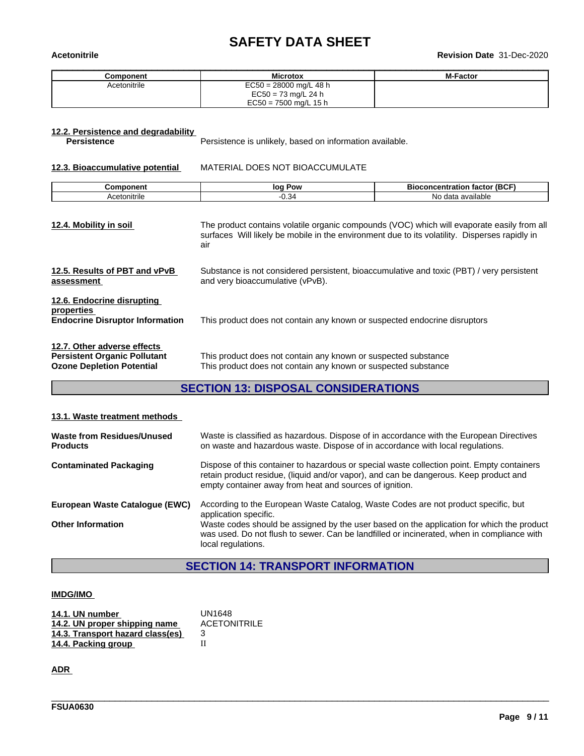# \_\_\_\_\_\_\_\_\_\_\_\_\_\_\_\_\_\_\_\_\_\_\_\_\_\_\_\_\_\_\_\_\_\_\_\_\_\_\_\_\_\_\_\_\_\_\_\_\_\_\_\_\_\_\_\_\_\_\_\_\_\_\_\_\_\_\_\_\_\_\_\_\_\_\_\_\_\_\_\_\_\_\_\_\_\_\_\_\_\_\_\_\_\_ **Acetonitrile Revision Date** 31-Dec-2020

| Component    | <b>Microtox</b>          | <b>M-Factor</b> |
|--------------|--------------------------|-----------------|
| Acetonitrile | $EC50 = 28000$ mg/L 48 h |                 |
|              | EC50 = 73 mg/L 24 h      |                 |
|              | $EC50 = 7500$ mg/L 15 h  |                 |

# **12.2. Persistence and degradability**

Persistence is unlikely, based on information available.

**12.3. Bioaccumulative potential** MATERIAL DOES NOT BIOACCUMULATE

| $- 12.55$<br>רי nen. | Pow<br>lО | $- - - -$<br>(BC)<br><b>oncentration</b><br>тастоі<br>мос |
|----------------------|-----------|-----------------------------------------------------------|
| Acetonitrile         | ≺<br>∪.∪  | N۵<br>$A^{\sim+}$<br>available<br>Jala                    |

**12.6. Endocrine disrupting**

**12.4. Mobility in soil** The product contains volatile organic compounds (VOC) which will evaporate easily from all surfaces Will likely be mobile in the environment due to its volatility. Disperses rapidly in air

| 12.5. Results of PBT and vPvB | Substance is not considered persistent, bioaccumulative and toxic (PBT) / very persistent |
|-------------------------------|-------------------------------------------------------------------------------------------|
| assessment                    | and very bioaccumulative (vPvB).                                                          |
|                               |                                                                                           |

# **properties** This product does not contain any known or suspected endocrine disruptors

| 12.7. Other adverse effects         |                                                                |
|-------------------------------------|----------------------------------------------------------------|
| <b>Persistent Organic Pollutant</b> | This product does not contain any known or suspected substance |
| <b>Ozone Depletion Potential</b>    | This product does not contain any known or suspected substance |

## **SECTION 13: DISPOSAL CONSIDERATIONS**

#### **13.1. Waste treatment methods**

| Waste from Residues/Unused<br><b>Products</b> | Waste is classified as hazardous. Dispose of in accordance with the European Directives<br>on waste and hazardous waste. Dispose of in accordance with local regulations.                                                                      |
|-----------------------------------------------|------------------------------------------------------------------------------------------------------------------------------------------------------------------------------------------------------------------------------------------------|
| <b>Contaminated Packaging</b>                 | Dispose of this container to hazardous or special waste collection point. Empty containers<br>retain product residue, (liquid and/or vapor), and can be dangerous. Keep product and<br>empty container away from heat and sources of ignition. |
| European Waste Catalogue (EWC)                | According to the European Waste Catalog, Waste Codes are not product specific, but<br>application specific.                                                                                                                                    |
| <b>Other Information</b>                      | Waste codes should be assigned by the user based on the application for which the product<br>was used. Do not flush to sewer. Can be landfilled or incinerated, when in compliance with<br>local regulations.                                  |

## **SECTION 14: TRANSPORT INFORMATION**

\_\_\_\_\_\_\_\_\_\_\_\_\_\_\_\_\_\_\_\_\_\_\_\_\_\_\_\_\_\_\_\_\_\_\_\_\_\_\_\_\_\_\_\_\_\_\_\_\_\_\_\_\_\_\_\_\_\_\_\_\_\_\_\_\_\_\_\_\_\_\_\_\_\_\_\_\_\_\_\_\_\_\_\_\_\_\_\_\_\_\_\_\_\_

#### **IMDG/IMO**

| 14.1. UN number                  | UN1648              |
|----------------------------------|---------------------|
| 14.2. UN proper shipping name    | <b>ACETONITRILE</b> |
| 14.3. Transport hazard class(es) |                     |
| 14.4. Packing group              |                     |

**ADR**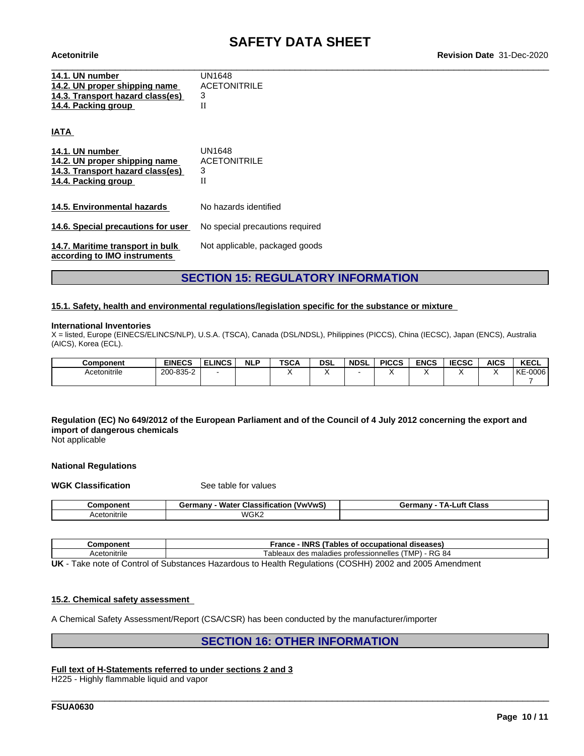| 14.1. UN number                  | UN1648              |
|----------------------------------|---------------------|
| 14.2. UN proper shipping name    | <b>ACETONITRILE</b> |
| 14.3. Transport hazard class(es) |                     |
| 14.4. Packing group              |                     |
|                                  |                     |

**IATA** 

| 14.1. UN number<br>14.2. UN proper shipping name<br>14.3. Transport hazard class(es)<br>14.4. Packing group | UN1648<br><b>ACETONITRILE</b><br>3<br>Н |
|-------------------------------------------------------------------------------------------------------------|-----------------------------------------|
| 14.5. Environmental hazards                                                                                 | No hazards identified                   |
| 14.6. Special precautions for user                                                                          | No special precautions required         |
| 14.7. Maritime transport in bulk<br>according to IMO instruments                                            | Not applicable, packaged goods          |

### **SECTION 15: REGULATORY INFORMATION**

#### **15.1. Safety, health and environmental regulations/legislation specific for the substance or mixture**

#### **International Inventories**

X = listed, Europe (EINECS/ELINCS/NLP), U.S.A. (TSCA), Canada (DSL/NDSL), Philippines (PICCS), China (IECSC), Japan (ENCS), Australia (AICS), Korea (ECL).

| Component    | <b>EINECS</b> | <b>ELINCS</b> | <b>NLP</b> | <b>TSCA</b> | <b>DSL</b> | <b>NDSL</b> | <b>PICCS</b> | <b>ENCS</b> | <b>IECCO</b><br><b>IECSC</b> | <b>AICS</b> | <b>KECL</b>   |
|--------------|---------------|---------------|------------|-------------|------------|-------------|--------------|-------------|------------------------------|-------------|---------------|
| Acetonitrile | 200-835-2     |               |            |             |            |             |              |             |                              |             | $-0006$<br>KE |
|              |               |               |            |             |            |             |              |             |                              |             |               |

### Regulation (EC) No 649/2012 of the European Parliament and of the Council of 4 July 2012 concerning the export and **import of dangerous chemicals**

Not applicable

#### **National Regulations**

**WGK Classification** See table for values

| <b>Component</b> | <b>Water Classification</b><br>(VwVwS<br>Germany | ⊥uft<br>Class<br>Germany<br>гΔ. |
|------------------|--------------------------------------------------|---------------------------------|
| Acetonitrile     | WGK2                                             |                                 |

| <b>mponent</b>               | <b>INRS</b><br>ſables<br>rance<br>diseases<br>. occupational<br>∴∩t                 |  |  |  |  |
|------------------------------|-------------------------------------------------------------------------------------|--|--|--|--|
| . .<br>™cetonıtrıle<br>ACAIO | - RG 84<br>$\cdot$ i MP $\cdot$<br>maladies<br>; professionnelles<br>ableaux<br>des |  |  |  |  |
| .                            | $(0.00111)$ $0.000$<br>$\sim$ $\sim$ $\sim$ $\sim$<br>.                             |  |  |  |  |

**UK** - Take note of Control of Substances Hazardous to Health Regulations (COSHH) 2002 and 2005 Amendment

#### **15.2. Chemical safety assessment**

A Chemical Safety Assessment/Report (CSA/CSR) has been conducted by the manufacturer/importer

#### **SECTION 16: OTHER INFORMATION**

\_\_\_\_\_\_\_\_\_\_\_\_\_\_\_\_\_\_\_\_\_\_\_\_\_\_\_\_\_\_\_\_\_\_\_\_\_\_\_\_\_\_\_\_\_\_\_\_\_\_\_\_\_\_\_\_\_\_\_\_\_\_\_\_\_\_\_\_\_\_\_\_\_\_\_\_\_\_\_\_\_\_\_\_\_\_\_\_\_\_\_\_\_\_

#### **Full text of H-Statements referred to undersections 2 and 3**

H225 - Highly flammable liquid and vapor